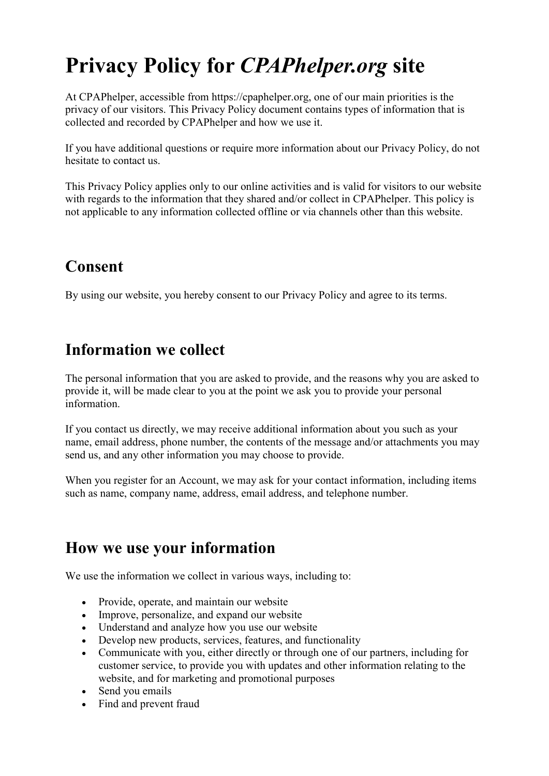# Privacy Policy for *CPAPhelper.org* site

At CPAPhelper, accessible from https://cpaphelper.org, one of our main priorities is the privacy of our visitors. This Privacy Policy document contains types of information that is collected and recorded by CPAPhelper and how we use it.

If you have additional questions or require more information about our Privacy Policy, do not hesitate to contact us.

This Privacy Policy applies only to our online activities and is valid for visitors to our website with regards to the information that they shared and/or collect in CPAPhelper. This policy is not applicable to any information collected offline or via channels other than this website.

### Consent

By using our website, you hereby consent to our Privacy Policy and agree to its terms.

### Information we collect

The personal information that you are asked to provide, and the reasons why you are asked to provide it, will be made clear to you at the point we ask you to provide your personal information.

If you contact us directly, we may receive additional information about you such as your name, email address, phone number, the contents of the message and/or attachments you may send us, and any other information you may choose to provide.

When you register for an Account, we may ask for your contact information, including items such as name, company name, address, email address, and telephone number.

### How we use your information

We use the information we collect in various ways, including to:

- Provide, operate, and maintain our website
- Improve, personalize, and expand our website
- Understand and analyze how you use our website
- Develop new products, services, features, and functionality
- Communicate with you, either directly or through one of our partners, including for customer service, to provide you with updates and other information relating to the website, and for marketing and promotional purposes
- Send you emails
- Find and prevent fraud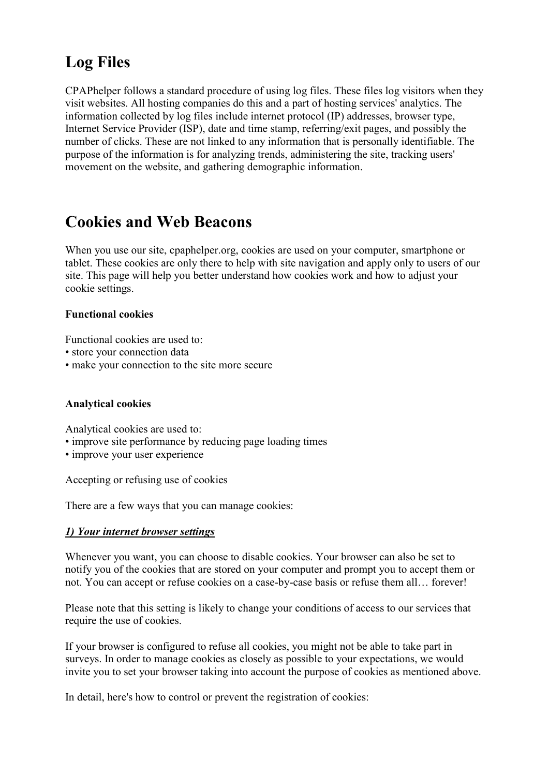### Log Files

CPAPhelper follows a standard procedure of using log files. These files log visitors when they visit websites. All hosting companies do this and a part of hosting services' analytics. The information collected by log files include internet protocol (IP) addresses, browser type, Internet Service Provider (ISP), date and time stamp, referring/exit pages, and possibly the number of clicks. These are not linked to any information that is personally identifiable. The purpose of the information is for analyzing trends, administering the site, tracking users' movement on the website, and gathering demographic information.

### Cookies and Web Beacons

When you use our site, cpaphelper.org, cookies are used on your computer, smartphone or tablet. These cookies are only there to help with site navigation and apply only to users of our site. This page will help you better understand how cookies work and how to adjust your cookie settings.

#### Functional cookies

Functional cookies are used to:

- store your connection data
- make your connection to the site more secure

#### Analytical cookies

Analytical cookies are used to:

- improve site performance by reducing page loading times
- improve your user experience

Accepting or refusing use of cookies

There are a few ways that you can manage cookies:

#### *1) Your internet browser settings*

Whenever you want, you can choose to disable cookies. Your browser can also be set to notify you of the cookies that are stored on your computer and prompt you to accept them or not. You can accept or refuse cookies on a case-by-case basis or refuse them all… forever!

Please note that this setting is likely to change your conditions of access to our services that require the use of cookies.

If your browser is configured to refuse all cookies, you might not be able to take part in surveys. In order to manage cookies as closely as possible to your expectations, we would invite you to set your browser taking into account the purpose of cookies as mentioned above.

In detail, here's how to control or prevent the registration of cookies: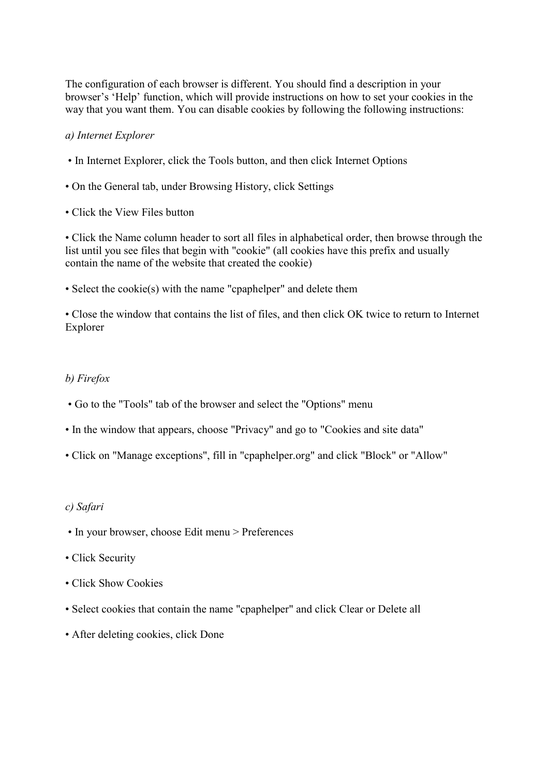The configuration of each browser is different. You should find a description in your browser's 'Help' function, which will provide instructions on how to set your cookies in the way that you want them. You can disable cookies by following the following instructions:

#### *a) Internet Explorer*

- In Internet Explorer, click the Tools button, and then click Internet Options
- On the General tab, under Browsing History, click Settings
- Click the View Files button

• Click the Name column header to sort all files in alphabetical order, then browse through the list until you see files that begin with "cookie" (all cookies have this prefix and usually contain the name of the website that created the cookie)

• Select the cookie(s) with the name "cpaphelper" and delete them

• Close the window that contains the list of files, and then click OK twice to return to Internet Explorer

#### *b) Firefox*

- Go to the "Tools" tab of the browser and select the "Options" menu
- In the window that appears, choose "Privacy" and go to "Cookies and site data"
- Click on "Manage exceptions", fill in "cpaphelper.org" and click "Block" or "Allow"

#### *c) Safari*

- In your browser, choose Edit menu > Preferences
- Click Security
- Click Show Cookies
- Select cookies that contain the name "cpaphelper" and click Clear or Delete all
- After deleting cookies, click Done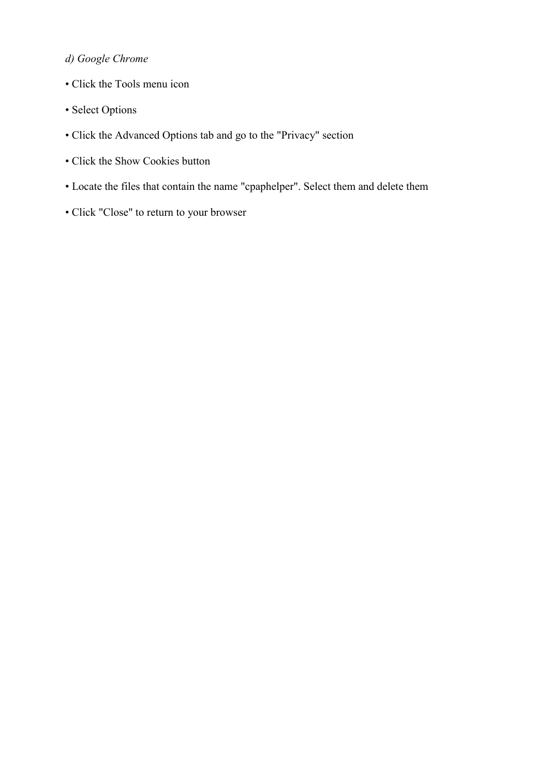### *d) Google Chrome*

- Click the Tools menu icon
- Select Options
- Click the Advanced Options tab and go to the "Privacy" section
- Click the Show Cookies button
- Locate the files that contain the name "cpaphelper". Select them and delete them
- Click "Close" to return to your browser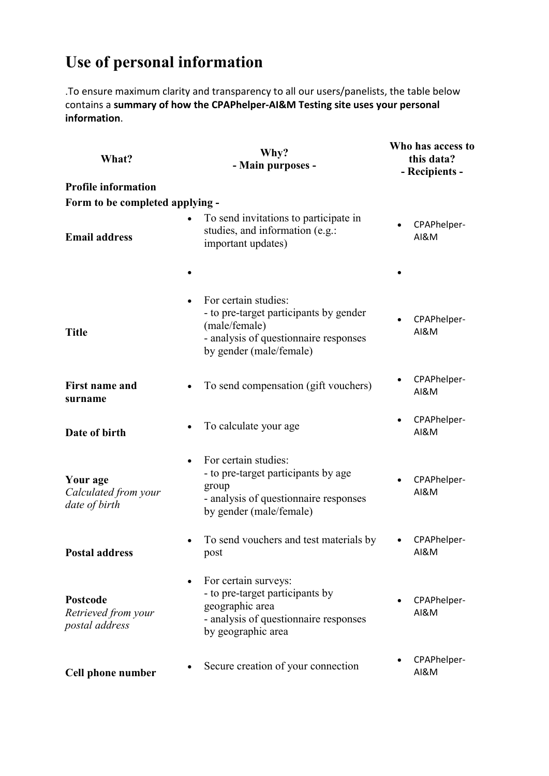## Use of personal information

.To ensure maximum clarity and transparency to all our users/panelists, the table below contains a **summary of how the CPAPhelper-AI&M Testing site uses your personal information**.

| What?                                             | Why?<br>- Main purposes -                                                                                                                           | Who has access to<br>this data?<br>- Recipients - |  |
|---------------------------------------------------|-----------------------------------------------------------------------------------------------------------------------------------------------------|---------------------------------------------------|--|
| <b>Profile information</b>                        |                                                                                                                                                     |                                                   |  |
| Form to be completed applying -                   |                                                                                                                                                     |                                                   |  |
| <b>Email address</b>                              | To send invitations to participate in<br>studies, and information (e.g.:<br>important updates)                                                      | CPAPhelper-<br><b>AI&amp;M</b>                    |  |
|                                                   |                                                                                                                                                     |                                                   |  |
| <b>Title</b>                                      | For certain studies:<br>- to pre-target participants by gender<br>(male/female)<br>- analysis of questionnaire responses<br>by gender (male/female) | CPAPhelper-<br><b>AI&amp;M</b>                    |  |
| <b>First name and</b><br>surname                  | To send compensation (gift vouchers)                                                                                                                | CPAPhelper-<br><b>AI&amp;M</b>                    |  |
| Date of birth                                     | To calculate your age.                                                                                                                              | CPAPhelper-<br><b>AI&amp;M</b>                    |  |
| Your age<br>Calculated from your<br>date of birth | For certain studies:<br>- to pre-target participants by age<br>group<br>- analysis of questionnaire responses<br>by gender (male/female)            | CPAPhelper-<br><b>AI&amp;M</b>                    |  |
| <b>Postal address</b>                             | To send vouchers and test materials by<br>post                                                                                                      | CPAPhelper-<br>AI&M                               |  |
| Postcode<br>Retrieved from your<br>postal address | For certain surveys:<br>- to pre-target participants by<br>geographic area<br>- analysis of questionnaire responses<br>by geographic area           | CPAPhelper-<br><b>AI&amp;M</b>                    |  |
| Cell phone number                                 | Secure creation of your connection                                                                                                                  | CPAPhelper-<br><b>AI&amp;M</b>                    |  |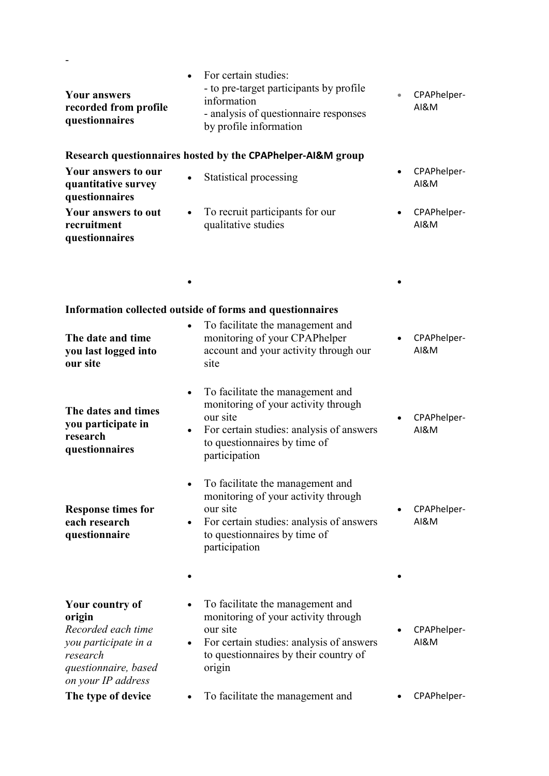| <b>Your answers</b><br>recorded from profile<br>questionnaires                                                                    | For certain studies:<br>- to pre-target participants by profile<br>information<br>- analysis of questionnaire responses<br>by profile information                                                          | $\bullet$ | CPAPhelper-<br><b>AI&amp;M</b> |  |  |  |
|-----------------------------------------------------------------------------------------------------------------------------------|------------------------------------------------------------------------------------------------------------------------------------------------------------------------------------------------------------|-----------|--------------------------------|--|--|--|
| Research questionnaires hosted by the CPAPhelper-AI&M group                                                                       |                                                                                                                                                                                                            |           |                                |  |  |  |
| Your answers to our<br>quantitative survey<br>questionnaires                                                                      | Statistical processing                                                                                                                                                                                     |           | CPAPhelper-<br>AI&M            |  |  |  |
| Your answers to out<br>recruitment<br>questionnaires                                                                              | To recruit participants for our<br>qualitative studies                                                                                                                                                     |           | CPAPhelper-<br>AI&M            |  |  |  |
|                                                                                                                                   |                                                                                                                                                                                                            |           |                                |  |  |  |
| Information collected outside of forms and questionnaires                                                                         |                                                                                                                                                                                                            |           |                                |  |  |  |
| The date and time<br>you last logged into<br>our site                                                                             | To facilitate the management and<br>monitoring of your CPAPhelper<br>account and your activity through our<br>site                                                                                         |           | CPAPhelper-<br><b>AI&amp;M</b> |  |  |  |
| The dates and times<br>you participate in<br>research<br>questionnaires                                                           | To facilitate the management and<br>$\bullet$<br>monitoring of your activity through<br>our site<br>For certain studies: analysis of answers<br>$\bullet$<br>to questionnaires by time of<br>participation |           | CPAPhelper-<br>AI&M            |  |  |  |
| <b>Response times for</b><br>each research<br>questionnaire                                                                       | To facilitate the management and<br>monitoring of your activity through<br>our site<br>For certain studies: analysis of answers<br>to questionnaires by time of<br>participation                           |           | CPAPhelper-<br><b>AI&amp;M</b> |  |  |  |
|                                                                                                                                   |                                                                                                                                                                                                            |           |                                |  |  |  |
| Your country of<br>origin<br>Recorded each time<br>you participate in a<br>research<br>questionnaire, based<br>on your IP address | To facilitate the management and<br>monitoring of your activity through<br>our site<br>For certain studies: analysis of answers<br>to questionnaires by their country of<br>origin                         |           | CPAPhelper-<br><b>AI&amp;M</b> |  |  |  |
| The type of device                                                                                                                | To facilitate the management and                                                                                                                                                                           |           | CPAPhelper-                    |  |  |  |

-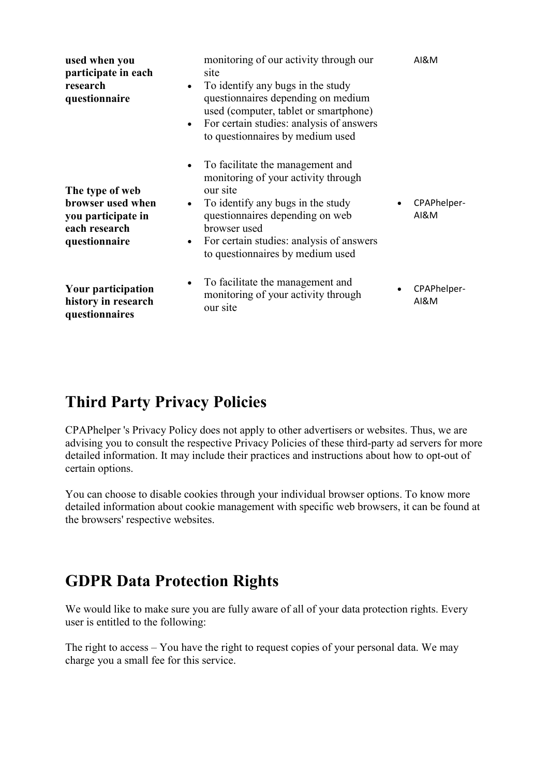| used when you<br>participate in each<br>research<br>questionnaire                            | monitoring of our activity through our<br>site<br>To identify any bugs in the study<br>$\bullet$<br>questionnaires depending on medium<br>used (computer, tablet or smartphone)<br>For certain studies: analysis of answers<br>$\bullet$<br>to questionnaires by medium used                       | AI&M                           |
|----------------------------------------------------------------------------------------------|----------------------------------------------------------------------------------------------------------------------------------------------------------------------------------------------------------------------------------------------------------------------------------------------------|--------------------------------|
| The type of web<br>browser used when<br>you participate in<br>each research<br>questionnaire | To facilitate the management and<br>$\bullet$<br>monitoring of your activity through<br>our site<br>To identify any bugs in the study<br>$\bullet$<br>questionnaires depending on web<br>browser used<br>For certain studies: analysis of answers<br>$\bullet$<br>to questionnaires by medium used | CPAPhelper-<br><b>AI&amp;M</b> |
| Your participation<br>history in research<br>questionnaires                                  | To facilitate the management and<br>$\bullet$<br>monitoring of your activity through<br>our site                                                                                                                                                                                                   | CPAPhelper-<br><b>AI&amp;M</b> |

### Third Party Privacy Policies

CPAPhelper 's Privacy Policy does not apply to other advertisers or websites. Thus, we are advising you to consult the respective Privacy Policies of these third-party ad servers for more detailed information. It may include their practices and instructions about how to opt-out of certain options.

You can choose to disable cookies through your individual browser options. To know more detailed information about cookie management with specific web browsers, it can be found at the browsers' respective websites.

### GDPR Data Protection Rights

We would like to make sure you are fully aware of all of your data protection rights. Every user is entitled to the following:

The right to access – You have the right to request copies of your personal data. We may charge you a small fee for this service.